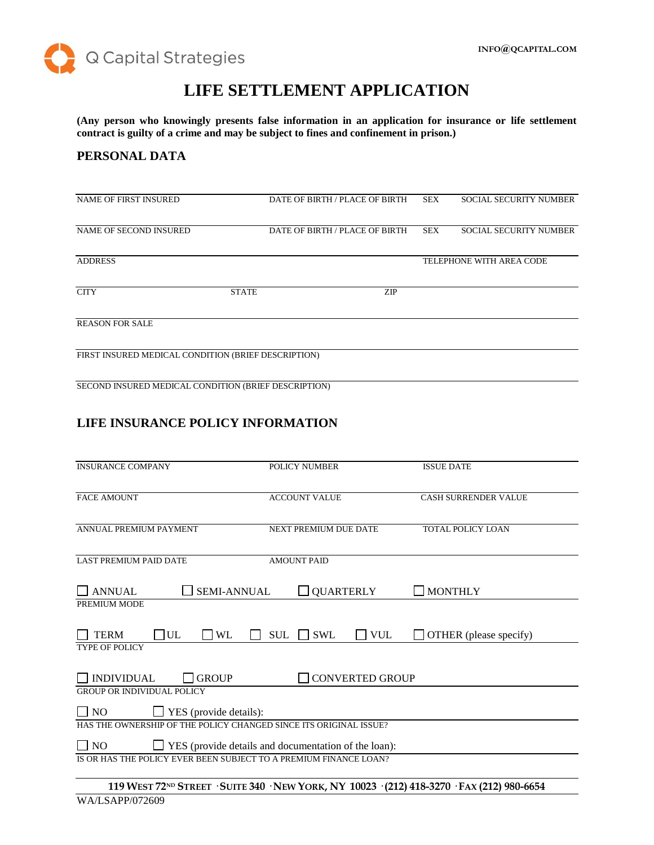

# **LIFE SETTLEMENT APPLICATION**

**(Any person who knowingly presents false information in an application for insurance or life settlement contract is guilty of a crime and may be subject to fines and confinement in prison.)**

# **PERSONAL DATA**

| <b>NAME OF FIRST INSURED</b>                         |              | DATE OF BIRTH / PLACE OF BIRTH | <b>SEX</b> | <b>SOCIAL SECURITY NUMBER</b> |
|------------------------------------------------------|--------------|--------------------------------|------------|-------------------------------|
| NAME OF SECOND INSURED                               |              | DATE OF BIRTH / PLACE OF BIRTH | <b>SEX</b> | <b>SOCIAL SECURITY NUMBER</b> |
| <b>ADDRESS</b>                                       |              |                                |            | TELEPHONE WITH AREA CODE      |
| <b>CITY</b>                                          | <b>STATE</b> | ZIP                            |            |                               |
| <b>REASON FOR SALE</b>                               |              |                                |            |                               |
| FIRST INSURED MEDICAL CONDITION (BRIEF DESCRIPTION)  |              |                                |            |                               |
| SECOND INSURED MEDICAL CONDITION (BRIEF DESCRIPTION) |              |                                |            |                               |
|                                                      |              |                                |            |                               |

# **LIFE INSURANCE POLICY INFORMATION**

| <b>INSURANCE COMPANY</b>                                                                                | <b>POLICY NUMBER</b>                   | <b>ISSUE DATE</b>           |  |
|---------------------------------------------------------------------------------------------------------|----------------------------------------|-----------------------------|--|
| <b>FACE AMOUNT</b>                                                                                      | <b>ACCOUNT VALUE</b>                   | <b>CASH SURRENDER VALUE</b> |  |
| ANNUAL PREMIUM PAYMENT                                                                                  | <b>NEXT PREMIUM DUE DATE</b>           | <b>TOTAL POLICY LOAN</b>    |  |
| <b>LAST PREMIUM PAID DATE</b>                                                                           | <b>AMOUNT PAID</b>                     |                             |  |
| <b>ANNUAL</b><br><b>SEMI-ANNUAL</b>                                                                     | <b>QUARTERLY</b>                       | <b>MONTHLY</b>              |  |
| PREMIUM MODE                                                                                            |                                        |                             |  |
| <b>TERM</b><br>UL<br><b>WL</b>                                                                          | <b>SWL</b><br>$\Box$ VUL<br><b>SUL</b> | OTHER (please specify)      |  |
| <b>TYPE OF POLICY</b>                                                                                   |                                        |                             |  |
| <b>GROUP</b><br><b>INDIVIDUAL</b>                                                                       | <b>CONVERTED GROUP</b>                 |                             |  |
| <b>GROUP OR INDIVIDUAL POLICY</b><br>$\Box$ NO<br>$\Box$ YES (provide details):                         |                                        |                             |  |
| HAS THE OWNERSHIP OF THE POLICY CHANGED SINCE ITS ORIGINAL ISSUE?                                       |                                        |                             |  |
| $\Box$ YES (provide details and documentation of the loan):<br>$\Box$ NO                                |                                        |                             |  |
| IS OR HAS THE POLICY EVER BEEN SUBJECT TO A PREMIUM FINANCE LOAN?                                       |                                        |                             |  |
| 119 WEST 72 <sup>ND</sup> STREET · SUITE 340 · NEW YORK, NY 10023 · (212) 418-3270 · FAX (212) 980-6654 |                                        |                             |  |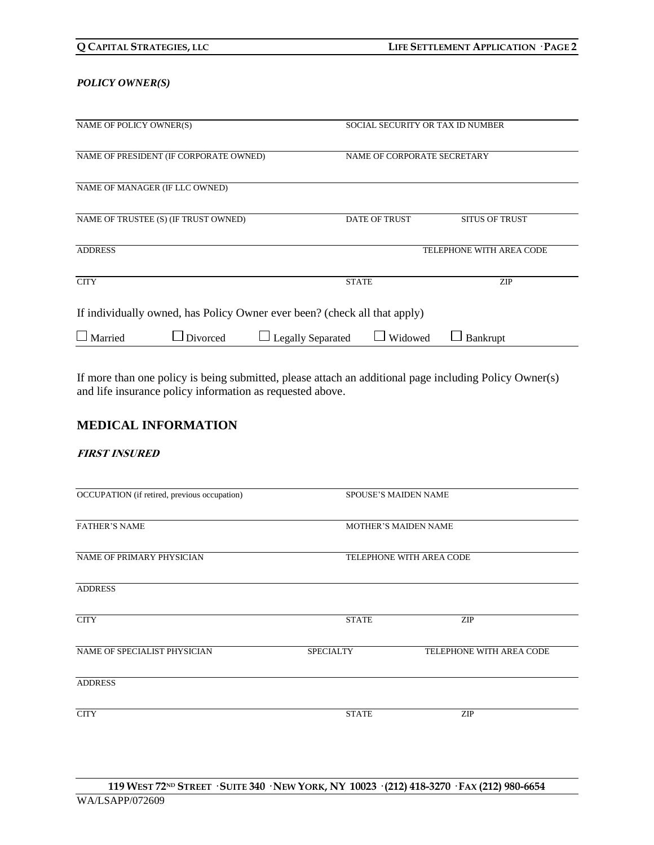#### *POLICY OWNER(S)*

| NAME OF POLICY OWNER(S)                                                   |                 |                          | SOCIAL SECURITY OR TAX ID NUMBER |                          |  |
|---------------------------------------------------------------------------|-----------------|--------------------------|----------------------------------|--------------------------|--|
| NAME OF PRESIDENT (IF CORPORATE OWNED)                                    |                 |                          | NAME OF CORPORATE SECRETARY      |                          |  |
| NAME OF MANAGER (IF LLC OWNED)                                            |                 |                          |                                  |                          |  |
| NAME OF TRUSTEE (S) (IF TRUST OWNED)                                      |                 |                          | <b>DATE OF TRUST</b>             | <b>SITUS OF TRUST</b>    |  |
| <b>ADDRESS</b>                                                            |                 |                          |                                  | TELEPHONE WITH AREA CODE |  |
| <b>CITY</b>                                                               |                 |                          | <b>STATE</b>                     | <b>ZIP</b>               |  |
| If individually owned, has Policy Owner ever been? (check all that apply) |                 |                          |                                  |                          |  |
| $\Box$ Married                                                            | $\Box$ Divorced | <b>Legally Separated</b> | Widowed                          | Bankrupt                 |  |

If more than one policy is being submitted, please attach an additional page including Policy Owner(s) and life insurance policy information as requested above.

# **MEDICAL INFORMATION**

#### **FIRST INSURED**

| OCCUPATION (if retired, previous occupation) | <b>SPOUSE'S MAIDEN NAME</b> |                             |  |
|----------------------------------------------|-----------------------------|-----------------------------|--|
| <b>FATHER'S NAME</b>                         |                             | <b>MOTHER'S MAIDEN NAME</b> |  |
| NAME OF PRIMARY PHYSICIAN                    | TELEPHONE WITH AREA CODE    |                             |  |
| <b>ADDRESS</b>                               |                             |                             |  |
| <b>CITY</b>                                  | <b>STATE</b>                | <b>ZIP</b>                  |  |
| NAME OF SPECIALIST PHYSICIAN                 | <b>SPECIALTY</b>            | TELEPHONE WITH AREA CODE    |  |
| <b>ADDRESS</b>                               |                             |                             |  |
| <b>CITY</b>                                  | <b>STATE</b>                | <b>ZIP</b>                  |  |
|                                              |                             |                             |  |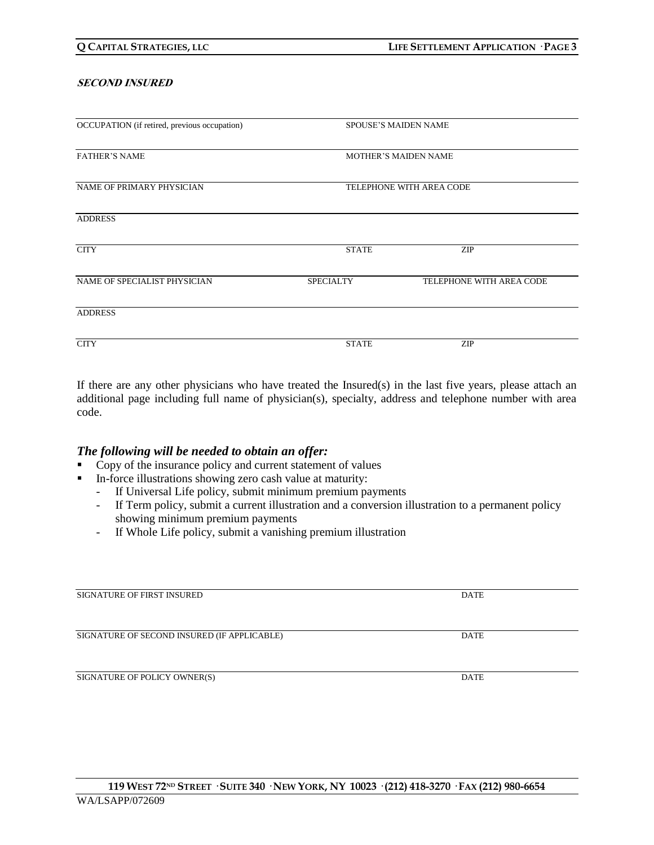#### **SECOND INSURED**

| OCCUPATION (if retired, previous occupation) |                             | <b>SPOUSE'S MAIDEN NAME</b> |  |
|----------------------------------------------|-----------------------------|-----------------------------|--|
| <b>FATHER'S NAME</b>                         | <b>MOTHER'S MAIDEN NAME</b> |                             |  |
| NAME OF PRIMARY PHYSICIAN                    | TELEPHONE WITH AREA CODE    |                             |  |
| <b>ADDRESS</b>                               |                             |                             |  |
| <b>CITY</b>                                  | <b>STATE</b>                | <b>ZIP</b>                  |  |
| NAME OF SPECIALIST PHYSICIAN                 | <b>SPECIALTY</b>            | TELEPHONE WITH AREA CODE    |  |
| <b>ADDRESS</b>                               |                             |                             |  |
| <b>CITY</b>                                  | <b>STATE</b>                | ZIP                         |  |

If there are any other physicians who have treated the Insured(s) in the last five years, please attach an additional page including full name of physician(s), specialty, address and telephone number with area code.

#### *The following will be needed to obtain an offer:*

- Copy of the insurance policy and current statement of values
- In-force illustrations showing zero cash value at maturity:
	- If Universal Life policy, submit minimum premium payments
	- If Term policy, submit a current illustration and a conversion illustration to a permanent policy showing minimum premium payments
	- If Whole Life policy, submit a vanishing premium illustration

| <b>SIGNATURE OF FIRST INSURED</b>           | <b>DATE</b> |
|---------------------------------------------|-------------|
|                                             |             |
|                                             |             |
| SIGNATURE OF SECOND INSURED (IF APPLICABLE) | <b>DATE</b> |
|                                             |             |
|                                             |             |
| SIGNATURE OF POLICY OWNER(S)                | <b>DATE</b> |
|                                             |             |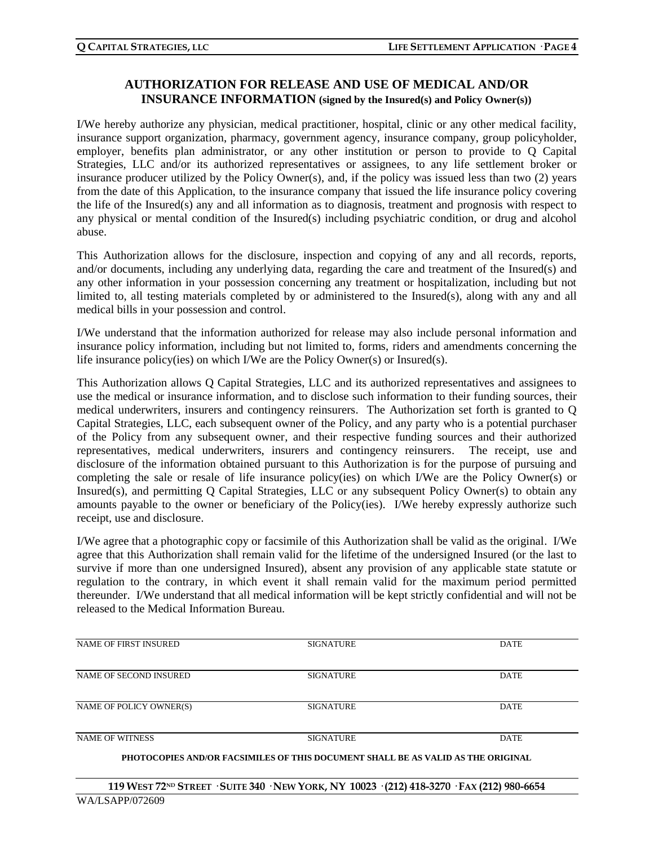# **AUTHORIZATION FOR RELEASE AND USE OF MEDICAL AND/OR INSURANCE INFORMATION (signed by the Insured(s) and Policy Owner(s))**

I/We hereby authorize any physician, medical practitioner, hospital, clinic or any other medical facility, insurance support organization, pharmacy, government agency, insurance company, group policyholder, employer, benefits plan administrator, or any other institution or person to provide to Q Capital Strategies, LLC and/or its authorized representatives or assignees, to any life settlement broker or insurance producer utilized by the Policy Owner(s), and, if the policy was issued less than two (2) years from the date of this Application, to the insurance company that issued the life insurance policy covering the life of the Insured(s) any and all information as to diagnosis, treatment and prognosis with respect to any physical or mental condition of the Insured(s) including psychiatric condition, or drug and alcohol abuse.

This Authorization allows for the disclosure, inspection and copying of any and all records, reports, and/or documents, including any underlying data, regarding the care and treatment of the Insured(s) and any other information in your possession concerning any treatment or hospitalization, including but not limited to, all testing materials completed by or administered to the Insured(s), along with any and all medical bills in your possession and control.

I/We understand that the information authorized for release may also include personal information and insurance policy information, including but not limited to, forms, riders and amendments concerning the life insurance policy(ies) on which I/We are the Policy Owner(s) or Insured(s).

This Authorization allows Q Capital Strategies, LLC and its authorized representatives and assignees to use the medical or insurance information, and to disclose such information to their funding sources, their medical underwriters, insurers and contingency reinsurers. The Authorization set forth is granted to Q Capital Strategies, LLC, each subsequent owner of the Policy, and any party who is a potential purchaser of the Policy from any subsequent owner, and their respective funding sources and their authorized representatives, medical underwriters, insurers and contingency reinsurers. The receipt, use and disclosure of the information obtained pursuant to this Authorization is for the purpose of pursuing and completing the sale or resale of life insurance policy(ies) on which I/We are the Policy Owner(s) or Insured(s), and permitting Q Capital Strategies, LLC or any subsequent Policy Owner(s) to obtain any amounts payable to the owner or beneficiary of the Policy(ies). I/We hereby expressly authorize such receipt, use and disclosure.

I/We agree that a photographic copy or facsimile of this Authorization shall be valid as the original. I/We agree that this Authorization shall remain valid for the lifetime of the undersigned Insured (or the last to survive if more than one undersigned Insured), absent any provision of any applicable state statute or regulation to the contrary, in which event it shall remain valid for the maximum period permitted thereunder. I/We understand that all medical information will be kept strictly confidential and will not be released to the Medical Information Bureau.

| NAME OF FIRST INSURED                                                                      | <b>SIGNATURE</b> | <b>DATE</b> |  |
|--------------------------------------------------------------------------------------------|------------------|-------------|--|
|                                                                                            |                  |             |  |
|                                                                                            |                  |             |  |
| NAME OF SECOND INSURED                                                                     | <b>SIGNATURE</b> | <b>DATE</b> |  |
|                                                                                            |                  |             |  |
| NAME OF POLICY OWNER(S)                                                                    | <b>SIGNATURE</b> | <b>DATE</b> |  |
|                                                                                            |                  |             |  |
|                                                                                            |                  |             |  |
| <b>NAME OF WITNESS</b>                                                                     | <b>SIGNATURE</b> | <b>DATE</b> |  |
| DILOTOCODIEC (AID/OD E) CCD (II EC OE THIC DOCUMENT CILLE I DE 1.0 V/1 ID 1.0 THE ODICINAT |                  |             |  |

**PHOTOCOPIES AND/OR FACSIMILES OF THIS DOCUMENT SHALL BE AS VALID AS THE ORIGINAL**

119 WEST 72ND STREET · SUITE 340 · NEW YORK, NY 10023 · (212) 418-3270 · FAX (212) 980-6654 WA/LSAPP/072609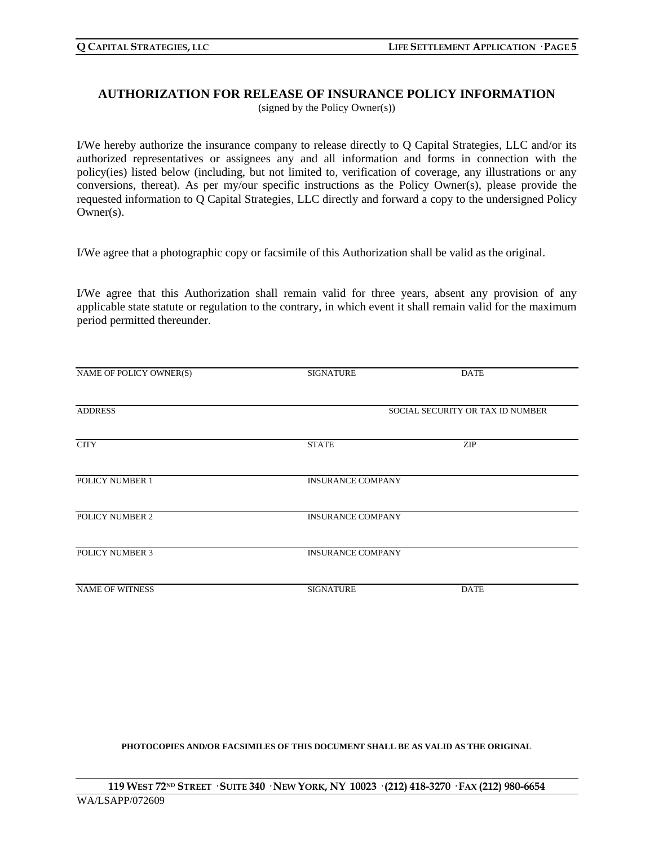### **AUTHORIZATION FOR RELEASE OF INSURANCE POLICY INFORMATION** (signed by the Policy Owner(s))

I/We hereby authorize the insurance company to release directly to Q Capital Strategies, LLC and/or its authorized representatives or assignees any and all information and forms in connection with the policy(ies) listed below (including, but not limited to, verification of coverage, any illustrations or any conversions, thereat). As per my/our specific instructions as the Policy Owner(s), please provide the requested information to Q Capital Strategies, LLC directly and forward a copy to the undersigned Policy Owner(s).

I/We agree that a photographic copy or facsimile of this Authorization shall be valid as the original.

I/We agree that this Authorization shall remain valid for three years, absent any provision of any applicable state statute or regulation to the contrary, in which event it shall remain valid for the maximum period permitted thereunder.

| NAME OF POLICY OWNER(S) | <b>SIGNATURE</b>         | <b>DATE</b>                      |
|-------------------------|--------------------------|----------------------------------|
| <b>ADDRESS</b>          |                          | SOCIAL SECURITY OR TAX ID NUMBER |
|                         |                          |                                  |
| <b>CITY</b>             | <b>STATE</b>             | <b>ZIP</b>                       |
| POLICY NUMBER 1         | <b>INSURANCE COMPANY</b> |                                  |
| POLICY NUMBER 2         | <b>INSURANCE COMPANY</b> |                                  |
| <b>POLICY NUMBER 3</b>  | <b>INSURANCE COMPANY</b> |                                  |
| <b>NAME OF WITNESS</b>  | <b>SIGNATURE</b>         | <b>DATE</b>                      |

#### **PHOTOCOPIES AND/OR FACSIMILES OF THIS DOCUMENT SHALL BE AS VALID AS THE ORIGINAL**